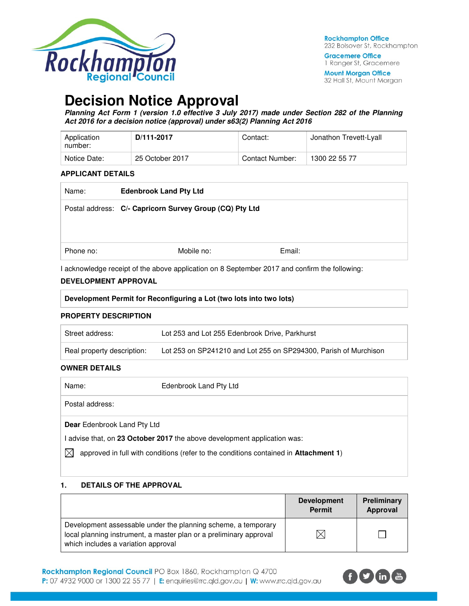

**Gracemere Office** 1 Ranger St, Gracemere

**Mount Morgan Office** 32 Hall St, Mount Morgan

# **Decision Notice Approval**

**Planning Act Form 1 (version 1.0 effective 3 July 2017) made under Section 282 of the Planning Act 2016 for a decision notice (approval) under s63(2) Planning Act 2016** 

| Application<br>number: | D/111-2017      | Contact:        | Jonathon Trevett-Lyall |
|------------------------|-----------------|-----------------|------------------------|
| Notice Date:           | 25 October 2017 | Contact Number: | 1300 22 55 77          |

#### **APPLICANT DETAILS**

| Name:     | <b>Edenbrook Land Pty Ltd</b>                           |        |  |
|-----------|---------------------------------------------------------|--------|--|
|           | Postal address: C/- Capricorn Survey Group (CQ) Pty Ltd |        |  |
| Phone no: | Mobile no:                                              | Email: |  |

I acknowledge receipt of the above application on 8 September 2017 and confirm the following:

#### **DEVELOPMENT APPROVAL**

| Development Permit for Reconfiguring a Lot (two lots into two lots) |
|---------------------------------------------------------------------|
|---------------------------------------------------------------------|

#### **PROPERTY DESCRIPTION**

| Street address:            | Lot 253 and Lot 255 Edenbrook Drive, Parkhurst                   |
|----------------------------|------------------------------------------------------------------|
| Real property description: | Lot 253 on SP241210 and Lot 255 on SP294300, Parish of Murchison |

#### **OWNER DETAILS**

| Name:                              | Edenbrook Land Pty Ltd                                                               |
|------------------------------------|--------------------------------------------------------------------------------------|
| Postal address:                    |                                                                                      |
| <b>Dear</b> Edenbrook Land Pty Ltd |                                                                                      |
|                                    | l advise that, on 23 October 2017 the above development application was:             |
|                                    | approved in full with conditions (refer to the conditions contained in Attachment 1) |

#### **1. DETAILS OF THE APPROVAL**

|                                                                                                                                                                            | <b>Development</b><br><b>Permit</b> | Preliminary<br>Approval |
|----------------------------------------------------------------------------------------------------------------------------------------------------------------------------|-------------------------------------|-------------------------|
| Development assessable under the planning scheme, a temporary<br>local planning instrument, a master plan or a preliminary approval<br>which includes a variation approval |                                     |                         |

Rockhampton Regional Council PO Box 1860, Rockhampton Q 4700 P: 07 4932 9000 or 1300 22 55 77 | E: enquiries@rrc.qld.gov.au | W: www.rrc.qld.gov.au

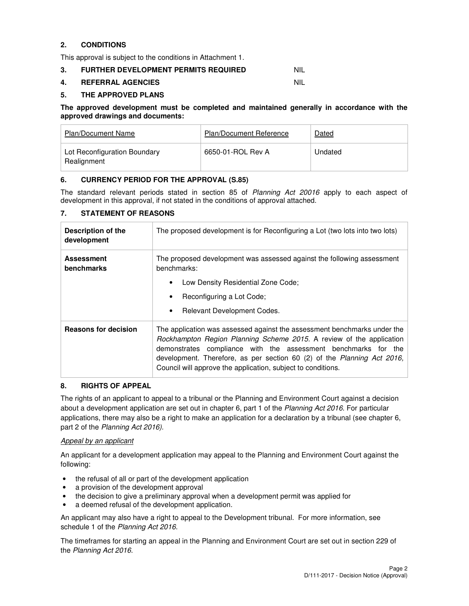## **2. CONDITIONS**

This approval is subject to the conditions in Attachment 1.

#### **3. FURTHER DEVELOPMENT PERMITS REQUIRED NIL**

#### **4. REFERRAL AGENCIES** NIL

#### **5. THE APPROVED PLANS**

#### **The approved development must be completed and maintained generally in accordance with the approved drawings and documents:**

| Plan/Document Name                          | <b>Plan/Document Reference</b> | Dated   |
|---------------------------------------------|--------------------------------|---------|
| Lot Reconfiguration Boundary<br>Realignment | 6650-01-ROL Rev A              | Undated |

#### **6. CURRENCY PERIOD FOR THE APPROVAL (S.85)**

The standard relevant periods stated in section 85 of Planning Act 20016 apply to each aspect of development in this approval, if not stated in the conditions of approval attached.

### **7. STATEMENT OF REASONS**

| Description of the<br>development | The proposed development is for Reconfiguring a Lot (two lots into two lots)                                                                                                                                                                                                                                                                                  |  |  |
|-----------------------------------|---------------------------------------------------------------------------------------------------------------------------------------------------------------------------------------------------------------------------------------------------------------------------------------------------------------------------------------------------------------|--|--|
| <b>Assessment</b><br>benchmarks   | The proposed development was assessed against the following assessment<br>benchmarks:                                                                                                                                                                                                                                                                         |  |  |
|                                   | Low Density Residential Zone Code;                                                                                                                                                                                                                                                                                                                            |  |  |
|                                   | Reconfiguring a Lot Code;<br>$\bullet$                                                                                                                                                                                                                                                                                                                        |  |  |
|                                   | Relevant Development Codes.<br>$\bullet$                                                                                                                                                                                                                                                                                                                      |  |  |
| <b>Reasons for decision</b>       | The application was assessed against the assessment benchmarks under the<br>Rockhampton Region Planning Scheme 2015. A review of the application<br>demonstrates compliance with the assessment benchmarks for the<br>development. Therefore, as per section 60 (2) of the Planning Act 2016,<br>Council will approve the application, subject to conditions. |  |  |

#### **8. RIGHTS OF APPEAL**

The rights of an applicant to appeal to a tribunal or the Planning and Environment Court against a decision about a development application are set out in chapter 6, part 1 of the Planning Act 2016. For particular applications, there may also be a right to make an application for a declaration by a tribunal (see chapter 6, part 2 of the Planning Act 2016).

#### Appeal by an applicant

An applicant for a development application may appeal to the Planning and Environment Court against the following:

- the refusal of all or part of the development application
- a provision of the development approval
- the decision to give a preliminary approval when a development permit was applied for
- a deemed refusal of the development application.

An applicant may also have a right to appeal to the Development tribunal. For more information, see schedule 1 of the Planning Act 2016.

The timeframes for starting an appeal in the Planning and Environment Court are set out in section 229 of the Planning Act 2016.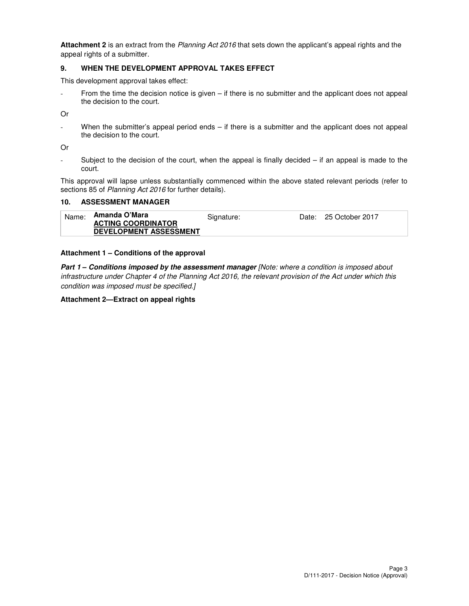**Attachment 2** is an extract from the Planning Act 2016 that sets down the applicant's appeal rights and the appeal rights of a submitter.

#### **9. WHEN THE DEVELOPMENT APPROVAL TAKES EFFECT**

This development approval takes effect:

From the time the decision notice is given – if there is no submitter and the applicant does not appeal the decision to the court.

Or

When the submitter's appeal period ends  $-$  if there is a submitter and the applicant does not appeal the decision to the court.

Or

Subject to the decision of the court, when the appeal is finally decided  $-$  if an appeal is made to the court.

This approval will lapse unless substantially commenced within the above stated relevant periods (refer to sections 85 of Planning Act 2016 for further details).

#### **10. ASSESSMENT MANAGER**

| Name: | Amanda O'Mara                 | Signature: | Date: 25 October 2017 |
|-------|-------------------------------|------------|-----------------------|
|       | <b>ACTING COORDINATOR</b>     |            |                       |
|       | <b>DEVELOPMENT ASSESSMENT</b> |            |                       |

#### **Attachment 1 – Conditions of the approval**

**Part 1 – Conditions imposed by the assessment manager** [Note: where a condition is imposed about infrastructure under Chapter 4 of the Planning Act 2016, the relevant provision of the Act under which this condition was imposed must be specified.]

#### **Attachment 2—Extract on appeal rights**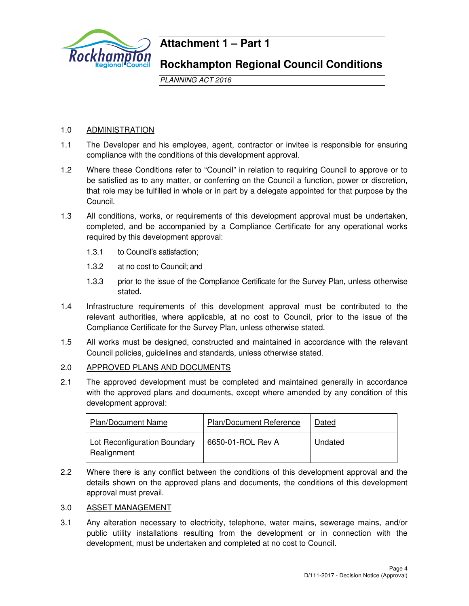

# **Attachment 1 – Part 1**

# **Rockhampton Regional Council Conditions**

PLANNING ACT 2016

# 1.0 ADMINISTRATION

- 1.1 The Developer and his employee, agent, contractor or invitee is responsible for ensuring compliance with the conditions of this development approval.
- 1.2 Where these Conditions refer to "Council" in relation to requiring Council to approve or to be satisfied as to any matter, or conferring on the Council a function, power or discretion, that role may be fulfilled in whole or in part by a delegate appointed for that purpose by the Council.
- 1.3 All conditions, works, or requirements of this development approval must be undertaken, completed, and be accompanied by a Compliance Certificate for any operational works required by this development approval:
	- 1.3.1 to Council's satisfaction;
	- 1.3.2 at no cost to Council; and
	- 1.3.3 prior to the issue of the Compliance Certificate for the Survey Plan, unless otherwise stated.
- 1.4 Infrastructure requirements of this development approval must be contributed to the relevant authorities, where applicable, at no cost to Council, prior to the issue of the Compliance Certificate for the Survey Plan, unless otherwise stated.
- 1.5 All works must be designed, constructed and maintained in accordance with the relevant Council policies, guidelines and standards, unless otherwise stated.
- 2.0 APPROVED PLANS AND DOCUMENTS
- 2.1 The approved development must be completed and maintained generally in accordance with the approved plans and documents, except where amended by any condition of this development approval:

| <b>Plan/Document Name</b>                   | <b>Plan/Document Reference</b> | Dated   |
|---------------------------------------------|--------------------------------|---------|
| Lot Reconfiguration Boundary<br>Realignment | 6650-01-ROL Rev A              | Undated |

2.2 Where there is any conflict between the conditions of this development approval and the details shown on the approved plans and documents, the conditions of this development approval must prevail.

# 3.0 ASSET MANAGEMENT

3.1 Any alteration necessary to electricity, telephone, water mains, sewerage mains, and/or public utility installations resulting from the development or in connection with the development, must be undertaken and completed at no cost to Council.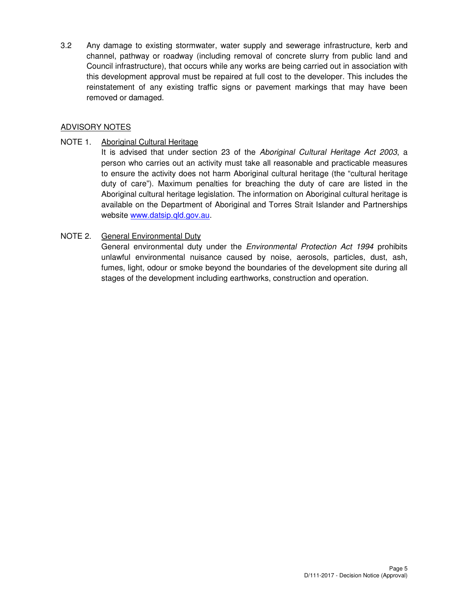3.2 Any damage to existing stormwater, water supply and sewerage infrastructure, kerb and channel, pathway or roadway (including removal of concrete slurry from public land and Council infrastructure), that occurs while any works are being carried out in association with this development approval must be repaired at full cost to the developer. This includes the reinstatement of any existing traffic signs or pavement markings that may have been removed or damaged.

# ADVISORY NOTES

NOTE 1. Aboriginal Cultural Heritage

It is advised that under section 23 of the Aboriginal Cultural Heritage Act 2003, a person who carries out an activity must take all reasonable and practicable measures to ensure the activity does not harm Aboriginal cultural heritage (the "cultural heritage duty of care"). Maximum penalties for breaching the duty of care are listed in the Aboriginal cultural heritage legislation. The information on Aboriginal cultural heritage is available on the Department of Aboriginal and Torres Strait Islander and Partnerships website www.datsip.qld.gov.au.

# NOTE 2. General Environmental Duty

General environmental duty under the *Environmental Protection Act 1994* prohibits unlawful environmental nuisance caused by noise, aerosols, particles, dust, ash, fumes, light, odour or smoke beyond the boundaries of the development site during all stages of the development including earthworks, construction and operation.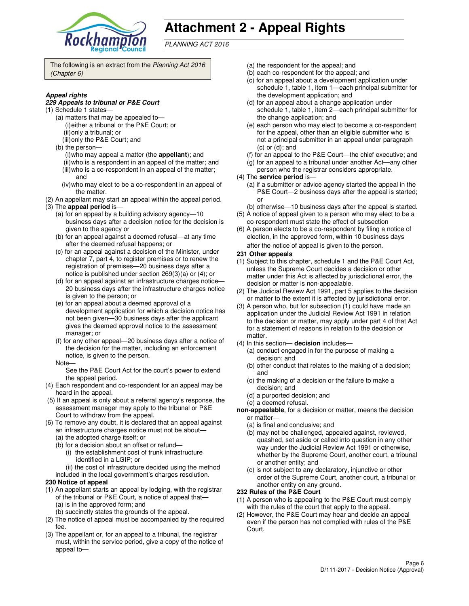

# **Attachment 2 - Appeal Rights**

PLANNING ACT 2016

The following is an extract from the Planning Act 2016 (Chapter 6)

#### **Appeal rights**

#### **229 Appeals to tribunal or P&E Court**

- (1) Schedule 1 states—
	- (a) matters that may be appealed to— (i) either a tribunal or the P&E Court; or (ii) only a tribunal; or
	- (iii) only the P&E Court; and
	- (b) the person—
		- (i) who may appeal a matter (the **appellant**); and (ii) who is a respondent in an appeal of the matter; and (iii) who is a co-respondent in an appeal of the matter;
		- and (iv) who may elect to be a co-respondent in an appeal of
	- the matter.
- (2) An appellant may start an appeal within the appeal period. (3) The **appeal period** is—
	- (a) for an appeal by a building advisory agency—10 business days after a decision notice for the decision is given to the agency or
	- (b) for an appeal against a deemed refusal—at any time after the deemed refusal happens; or
	- (c) for an appeal against a decision of the Minister, under chapter 7, part 4, to register premises or to renew the registration of premises—20 business days after a notice is published under section 269(3)(a) or (4); or
	- (d) for an appeal against an infrastructure charges notice— 20 business days after the infrastructure charges notice is given to the person; or
	- (e) for an appeal about a deemed approval of a development application for which a decision notice has not been given—30 business days after the applicant gives the deemed approval notice to the assessment manager; or
	- (f) for any other appeal—20 business days after a notice of the decision for the matter, including an enforcement notice, is given to the person.
	- Note—

See the P&E Court Act for the court's power to extend the appeal period.

- (4) Each respondent and co-respondent for an appeal may be heard in the appeal.
- (5) If an appeal is only about a referral agency's response, the assessment manager may apply to the tribunal or P&E Court to withdraw from the appeal.
- (6) To remove any doubt, it is declared that an appeal against an infrastructure charges notice must not be about—
	- (a) the adopted charge itself; or
	- (b) for a decision about an offset or refund—
		- (i) the establishment cost of trunk infrastructure identified in a LGIP; or
		- (ii) the cost of infrastructure decided using the method
	- included in the local government's charges resolution.
- **230 Notice of appeal**
- (1) An appellant starts an appeal by lodging, with the registrar of the tribunal or P&E Court, a notice of appeal that— (a) is in the approved form; and
	- (b) succinctly states the grounds of the appeal.
- (2) The notice of appeal must be accompanied by the required fee.
- (3) The appellant or, for an appeal to a tribunal, the registrar must, within the service period, give a copy of the notice of appeal to—
- (a) the respondent for the appeal; and
- (b) each co-respondent for the appeal; and
- (c) for an appeal about a development application under schedule 1, table 1, item 1—each principal submitter for the development application; and
- (d) for an appeal about a change application under schedule 1, table 1, item 2—each principal submitter for the change application; and
- (e) each person who may elect to become a co-respondent for the appeal, other than an eligible submitter who is not a principal submitter in an appeal under paragraph (c) or (d); and
- (f) for an appeal to the P&E Court—the chief executive; and
- (g) for an appeal to a tribunal under another Act—any other
- person who the registrar considers appropriate.
- (4) The **service period** is—
	- (a) if a submitter or advice agency started the appeal in the P&E Court—2 business days after the appeal is started; or
- (b) otherwise—10 business days after the appeal is started. (5) A notice of appeal given to a person who may elect to be a
- co-respondent must state the effect of subsection (6) A person elects to be a co-respondent by filing a notice of
- election, in the approved form, within 10 business days after the notice of appeal is given to the person*.*
- **231 Other appeals**
- (1) Subject to this chapter, schedule 1 and the P&E Court Act, unless the Supreme Court decides a decision or other matter under this Act is affected by jurisdictional error, the decision or matter is non-appealable.
- (2) The Judicial Review Act 1991, part 5 applies to the decision or matter to the extent it is affected by jurisdictional error.
- (3) A person who, but for subsection (1) could have made an application under the Judicial Review Act 1991 in relation to the decision or matter, may apply under part 4 of that Act for a statement of reasons in relation to the decision or matter.
- (4) In this section— **decision** includes—
	- (a) conduct engaged in for the purpose of making a decision; and
	- (b) other conduct that relates to the making of a decision; and
	- (c) the making of a decision or the failure to make a decision; and
	- (d) a purported decision; and
	- (e) a deemed refusal.
- **non-appealable**, for a decision or matter, means the decision or matter—
	- (a) is final and conclusive; and
	- (b) may not be challenged, appealed against, reviewed, quashed, set aside or called into question in any other way under the Judicial Review Act 1991 or otherwise, whether by the Supreme Court, another court, a tribunal or another entity; and
	- (c) is not subject to any declaratory, injunctive or other order of the Supreme Court, another court, a tribunal or another entity on any ground.

#### **232 Rules of the P&E Court**

- (1) A person who is appealing to the P&E Court must comply with the rules of the court that apply to the appeal.
- (2) However, the P&E Court may hear and decide an appeal even if the person has not complied with rules of the P&E Court.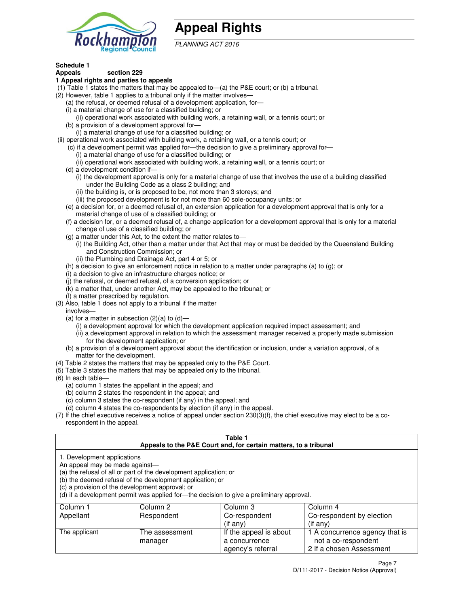

# **Appeal Rights**

PLANNING ACT 2016

#### **Schedule 1 Appeals section 229**

## **1 Appeal rights and parties to appeals**

- (1) Table 1 states the matters that may be appealed to—(a) the P&E court; or (b) a tribunal.
- (2) However, table 1 applies to a tribunal only if the matter involves—
	- (a) the refusal, or deemed refusal of a development application, for—
	- (i) a material change of use for a classified building; or
	- (ii) operational work associated with building work, a retaining wall, or a tennis court; or (b) a provision of a development approval for—
	- (i) a material change of use for a classified building; or
- (ii) operational work associated with building work, a retaining wall, or a tennis court; or
	- (c) if a development permit was applied for—the decision to give a preliminary approval for—
		- (i) a material change of use for a classified building; or
		- (ii) operational work associated with building work, a retaining wall, or a tennis court; or
	- (d) a development condition if—
		- (i) the development approval is only for a material change of use that involves the use of a building classified under the Building Code as a class 2 building; and
		- (ii) the building is, or is proposed to be, not more than 3 storeys; and
		- (iii) the proposed development is for not more than 60 sole-occupancy units; or
	- (e) a decision for, or a deemed refusal of, an extension application for a development approval that is only for a material change of use of a classified building; or
	- (f) a decision for, or a deemed refusal of, a change application for a development approval that is only for a material change of use of a classified building; or
	- (g) a matter under this Act, to the extent the matter relates to—
		- (i) the Building Act, other than a matter under that Act that may or must be decided by the Queensland Building and Construction Commission; or
		- (ii) the Plumbing and Drainage Act, part 4 or 5; or
	- (h) a decision to give an enforcement notice in relation to a matter under paragraphs (a) to (g); or
	- (i) a decision to give an infrastructure charges notice; or
	- (j) the refusal, or deemed refusal, of a conversion application; or
	- (k) a matter that, under another Act, may be appealed to the tribunal; or
	- (l) a matter prescribed by regulation.
- (3) Also, table 1 does not apply to a tribunal if the matter
- involves—
	- (a) for a matter in subsection  $(2)(a)$  to  $(d)$ 
		- (i) a development approval for which the development application required impact assessment; and
		- (ii) a development approval in relation to which the assessment manager received a properly made submission for the development application; or
	- (b) a provision of a development approval about the identification or inclusion, under a variation approval, of a matter for the development.
- (4) Table 2 states the matters that may be appealed only to the P&E Court.
- (5) Table 3 states the matters that may be appealed only to the tribunal.
- (6) In each table—
	- (a) column 1 states the appellant in the appeal; and
	- (b) column 2 states the respondent in the appeal; and
	- (c) column 3 states the co-respondent (if any) in the appeal; and
	- (d) column 4 states the co-respondents by election (if any) in the appeal.
- (7) If the chief executive receives a notice of appeal under section 230(3)(f), the chief executive may elect to be a corespondent in the appeal.

### **Table 1**

| Appeals to the P&E Court and, for certain matters, to a tribunal |                                                                                                                                                                                   |                                                                                          |                                                       |  |
|------------------------------------------------------------------|-----------------------------------------------------------------------------------------------------------------------------------------------------------------------------------|------------------------------------------------------------------------------------------|-------------------------------------------------------|--|
| 1. Development applications<br>An appeal may be made against—    | (a) the refusal of all or part of the development application; or<br>(b) the deemed refusal of the development application; or<br>(c) a provision of the development approval; or | (d) if a development permit was applied for—the decision to give a preliminary approval. |                                                       |  |
| Column 1                                                         | Column 2                                                                                                                                                                          | Column 3                                                                                 | Column 4                                              |  |
| Appellant                                                        | Respondent                                                                                                                                                                        | Co-respondent                                                                            | Co-respondent by election                             |  |
|                                                                  |                                                                                                                                                                                   | (if any)                                                                                 | $($ if any $)$                                        |  |
| The applicant                                                    | The assessment<br>manager                                                                                                                                                         | If the appeal is about<br>a concurrence                                                  | 1 A concurrence agency that is<br>not a co-respondent |  |

agency's referral

2 If a chosen Assessment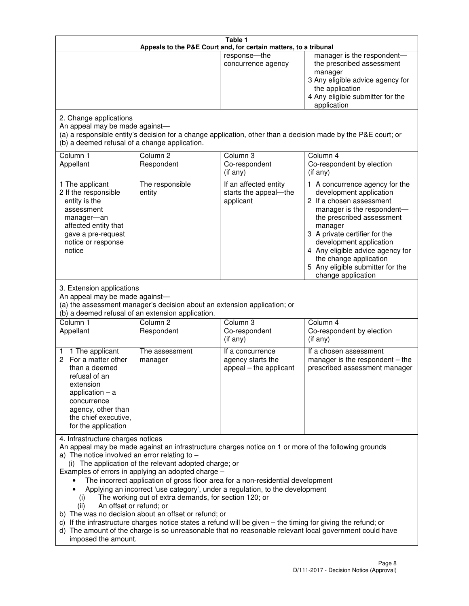| Table 1<br>Appeals to the P&E Court and, for certain matters, to a tribunal                                                                                                                          |                                                                                                                                                                                                                               |                                                                                                                                                                                                                                                                                 |                                                                                                                                                                                                                                                                                                                                                 |  |
|------------------------------------------------------------------------------------------------------------------------------------------------------------------------------------------------------|-------------------------------------------------------------------------------------------------------------------------------------------------------------------------------------------------------------------------------|---------------------------------------------------------------------------------------------------------------------------------------------------------------------------------------------------------------------------------------------------------------------------------|-------------------------------------------------------------------------------------------------------------------------------------------------------------------------------------------------------------------------------------------------------------------------------------------------------------------------------------------------|--|
|                                                                                                                                                                                                      |                                                                                                                                                                                                                               | response-the<br>concurrence agency                                                                                                                                                                                                                                              | manager is the respondent-<br>the prescribed assessment<br>manager<br>3 Any eligible advice agency for<br>the application<br>4 Any eligible submitter for the<br>application                                                                                                                                                                    |  |
| 2. Change applications<br>An appeal may be made against-<br>(b) a deemed refusal of a change application.                                                                                            |                                                                                                                                                                                                                               |                                                                                                                                                                                                                                                                                 | (a) a responsible entity's decision for a change application, other than a decision made by the P&E court; or                                                                                                                                                                                                                                   |  |
| Column 1<br>Appellant                                                                                                                                                                                | Column <sub>2</sub><br>Respondent                                                                                                                                                                                             | Column 3<br>Co-respondent<br>(if any)                                                                                                                                                                                                                                           | Column 4<br>Co-respondent by election<br>(if any)                                                                                                                                                                                                                                                                                               |  |
| 1 The applicant<br>2 If the responsible<br>entity is the<br>assessment<br>manager-an<br>affected entity that<br>gave a pre-request<br>notice or response<br>notice                                   | The responsible<br>entity                                                                                                                                                                                                     | If an affected entity<br>starts the appeal-the<br>applicant                                                                                                                                                                                                                     | 1 A concurrence agency for the<br>development application<br>2 If a chosen assessment<br>manager is the respondent-<br>the prescribed assessment<br>manager<br>3 A private certifier for the<br>development application<br>4 Any eligible advice agency for<br>the change application<br>5 Any eligible submitter for the<br>change application |  |
| 3. Extension applications<br>An appeal may be made against-<br>Column 1<br>Appellant                                                                                                                 | (a) the assessment manager's decision about an extension application; or<br>(b) a deemed refusal of an extension application.<br>Column <sub>2</sub><br>Respondent                                                            | Column 3<br>Co-respondent                                                                                                                                                                                                                                                       | Column 4<br>Co-respondent by election                                                                                                                                                                                                                                                                                                           |  |
| 1 The applicant<br>1<br>2 For a matter other<br>than a deemed<br>refusal of an<br>extension<br>application $-$ a<br>concurrence<br>agency, other than<br>the chief executive,<br>for the application | The assessment<br>manager                                                                                                                                                                                                     | (if any)<br>If a concurrence<br>agency starts the<br>appeal - the applicant                                                                                                                                                                                                     | (if any)<br>If a chosen assessment<br>manager is the respondent $-$ the<br>prescribed assessment manager                                                                                                                                                                                                                                        |  |
| 4. Infrastructure charges notices<br>a) The notice involved an error relating to $-$<br>(i)<br>An offset or refund; or<br>(ii)<br>imposed the amount.                                                | (i) The application of the relevant adopted charge; or<br>Examples of errors in applying an adopted charge -<br>The working out of extra demands, for section 120; or<br>b) The was no decision about an offset or refund; or | The incorrect application of gross floor area for a non-residential development<br>Applying an incorrect 'use category', under a regulation, to the development<br>c) If the infrastructure charges notice states a refund will be given - the timing for giving the refund; or | An appeal may be made against an infrastructure charges notice on 1 or more of the following grounds<br>d) The amount of the charge is so unreasonable that no reasonable relevant local government could have                                                                                                                                  |  |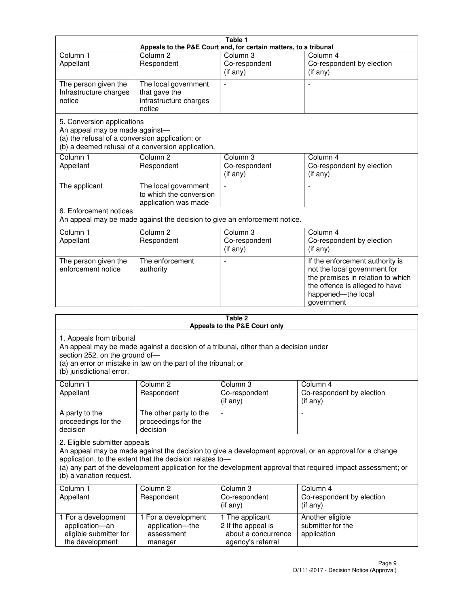| Table 1<br>Appeals to the P&E Court and, for certain matters, to a tribunal                                                                                          |                                                                           |                                                  |                                                                                                                                                                            |  |
|----------------------------------------------------------------------------------------------------------------------------------------------------------------------|---------------------------------------------------------------------------|--------------------------------------------------|----------------------------------------------------------------------------------------------------------------------------------------------------------------------------|--|
| Column <sub>1</sub>                                                                                                                                                  | Column <sub>2</sub>                                                       | Column 3                                         | Column 4                                                                                                                                                                   |  |
| Appellant                                                                                                                                                            | Respondent                                                                | Co-respondent<br>(if any)                        | Co-respondent by election<br>(if any)                                                                                                                                      |  |
| The person given the<br>Infrastructure charges<br>notice                                                                                                             | The local government<br>that gave the<br>infrastructure charges<br>notice | $\blacksquare$                                   |                                                                                                                                                                            |  |
| 5. Conversion applications<br>An appeal may be made against-<br>(a) the refusal of a conversion application; or<br>(b) a deemed refusal of a conversion application. |                                                                           |                                                  |                                                                                                                                                                            |  |
| Column <sub>1</sub><br>Appellant                                                                                                                                     | Column <sub>2</sub><br>Respondent                                         | Column <sub>3</sub><br>Co-respondent<br>(if any) | Column 4<br>Co-respondent by election<br>(if any)                                                                                                                          |  |
| The applicant                                                                                                                                                        | The local government<br>to which the conversion<br>application was made   |                                                  |                                                                                                                                                                            |  |
| 6. Enforcement notices<br>An appeal may be made against the decision to give an enforcement notice.                                                                  |                                                                           |                                                  |                                                                                                                                                                            |  |
| Column <sub>1</sub><br>Appellant                                                                                                                                     | Column <sub>2</sub><br>Respondent                                         | Column 3<br>Co-respondent<br>(if any)            | Column 4<br>Co-respondent by election<br>(if any)                                                                                                                          |  |
| The person given the<br>enforcement notice                                                                                                                           | The enforcement<br>authority                                              |                                                  | If the enforcement authority is<br>not the local government for<br>the premises in relation to which<br>the offence is alleged to have<br>happened-the local<br>government |  |
|                                                                                                                                                                      |                                                                           | 2 Tahle                                          |                                                                                                                                                                            |  |

| i avic 4<br>Appeals to the P&E Court only                                                                                                                                                                                                                                                                                                       |                                                                 |                                                                                   |                                                      |  |
|-------------------------------------------------------------------------------------------------------------------------------------------------------------------------------------------------------------------------------------------------------------------------------------------------------------------------------------------------|-----------------------------------------------------------------|-----------------------------------------------------------------------------------|------------------------------------------------------|--|
| 1. Appeals from tribunal<br>An appeal may be made against a decision of a tribunal, other than a decision under<br>section 252, on the ground of-<br>(a) an error or mistake in law on the part of the tribunal; or<br>(b) jurisdictional error.                                                                                                |                                                                 |                                                                                   |                                                      |  |
| Column 1<br>Appellant                                                                                                                                                                                                                                                                                                                           | Column <sub>2</sub><br>Respondent                               | Column <sub>3</sub><br>Co-respondent<br>(i f any)                                 | Column 4<br>Co-respondent by election<br>(if any)    |  |
| A party to the<br>proceedings for the<br>decision                                                                                                                                                                                                                                                                                               | The other party to the<br>proceedings for the<br>decision       | $\overline{\phantom{0}}$                                                          |                                                      |  |
| 2. Eligible submitter appeals<br>An appeal may be made against the decision to give a development approval, or an approval for a change<br>application, to the extent that the decision relates to-<br>(a) any part of the development application for the development approval that required impact assessment; or<br>(b) a variation request. |                                                                 |                                                                                   |                                                      |  |
| Column 1<br>Appellant                                                                                                                                                                                                                                                                                                                           | Column <sub>2</sub><br>Respondent                               | Column 3<br>Co-respondent<br>(if any)                                             | Column 4<br>Co-respondent by election<br>(if any)    |  |
| 1 For a development<br>application-an<br>eligible submitter for<br>the development                                                                                                                                                                                                                                                              | 1 For a development<br>application-the<br>assessment<br>manager | 1 The applicant<br>2 If the appeal is<br>about a concurrence<br>agency's referral | Another eligible<br>submitter for the<br>application |  |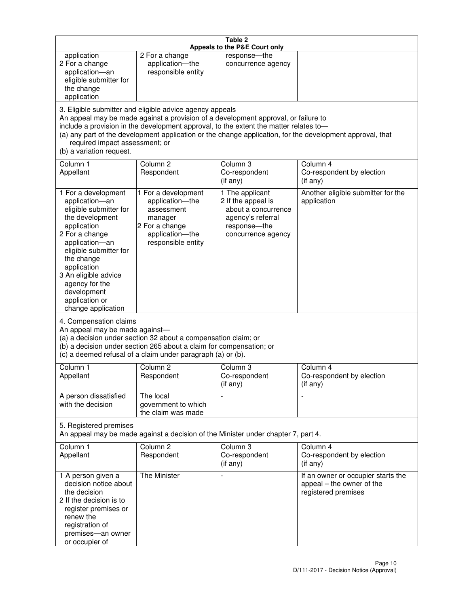| Table 2<br>Appeals to the P&E Court only                                                                                                                                                                                                                                                                                                                                                                           |                                                                                                                            |                                                                                                                         |                                                                                        |  |  |
|--------------------------------------------------------------------------------------------------------------------------------------------------------------------------------------------------------------------------------------------------------------------------------------------------------------------------------------------------------------------------------------------------------------------|----------------------------------------------------------------------------------------------------------------------------|-------------------------------------------------------------------------------------------------------------------------|----------------------------------------------------------------------------------------|--|--|
| application<br>2 For a change<br>application-an<br>eligible submitter for<br>the change<br>application                                                                                                                                                                                                                                                                                                             | 2 For a change<br>application-the<br>responsible entity                                                                    | response-the<br>concurrence agency                                                                                      |                                                                                        |  |  |
| 3. Eligible submitter and eligible advice agency appeals<br>An appeal may be made against a provision of a development approval, or failure to<br>include a provision in the development approval, to the extent the matter relates to-<br>(a) any part of the development application or the change application, for the development approval, that<br>required impact assessment; or<br>(b) a variation request. |                                                                                                                            |                                                                                                                         |                                                                                        |  |  |
| Column 1<br>Appellant                                                                                                                                                                                                                                                                                                                                                                                              | Column <sub>2</sub><br>Respondent                                                                                          | Column <sub>3</sub><br>Co-respondent<br>(if any)                                                                        | Column 4<br>Co-respondent by election<br>(i f any)                                     |  |  |
| 1 For a development<br>application-an<br>eligible submitter for<br>the development<br>application<br>2 For a change<br>application-an<br>eligible submitter for<br>the change<br>application<br>3 An eligible advice<br>agency for the<br>development<br>application or<br>change application                                                                                                                      | 1 For a development<br>application-the<br>assessment<br>manager<br>2 For a change<br>application-the<br>responsible entity | 1 The applicant<br>2 If the appeal is<br>about a concurrence<br>agency's referral<br>response-the<br>concurrence agency | Another eligible submitter for the<br>application                                      |  |  |
| 4. Compensation claims<br>An appeal may be made against-<br>(a) a decision under section 32 about a compensation claim; or<br>(b) a decision under section 265 about a claim for compensation; or<br>(c) a deemed refusal of a claim under paragraph (a) or (b).                                                                                                                                                   |                                                                                                                            |                                                                                                                         |                                                                                        |  |  |
| Column 1<br>Appellant                                                                                                                                                                                                                                                                                                                                                                                              | Column 2<br>Respondent                                                                                                     | Column 3<br>Co-respondent<br>(if any)                                                                                   | Column 4<br>Co-respondent by election<br>(if any)                                      |  |  |
| A person dissatisfied<br>with the decision                                                                                                                                                                                                                                                                                                                                                                         | The local<br>government to which<br>the claim was made                                                                     |                                                                                                                         | $\blacksquare$                                                                         |  |  |
| 5. Registered premises<br>An appeal may be made against a decision of the Minister under chapter 7, part 4.                                                                                                                                                                                                                                                                                                        |                                                                                                                            |                                                                                                                         |                                                                                        |  |  |
| Column 1<br>Appellant                                                                                                                                                                                                                                                                                                                                                                                              | Column <sub>2</sub><br>Respondent                                                                                          | Column 3<br>Co-respondent<br>(if any)                                                                                   | Column 4<br>Co-respondent by election<br>(if any)                                      |  |  |
| 1 A person given a<br>decision notice about<br>the decision<br>2 If the decision is to<br>register premises or<br>renew the<br>registration of<br>premises-an owner<br>or occupier of                                                                                                                                                                                                                              | The Minister                                                                                                               | $\overline{a}$                                                                                                          | If an owner or occupier starts the<br>appeal - the owner of the<br>registered premises |  |  |